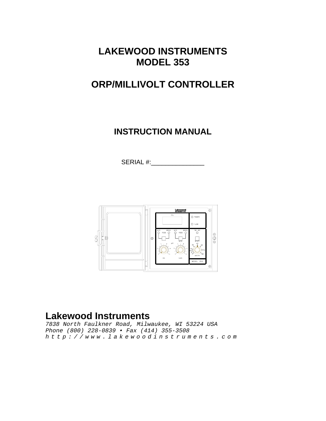**LAKEWOOD INSTRUMENTS MODEL 353** 

# **ORP/MILLIVOLT CONTROLLER**

**INSTRUCTION MANUAL** 

SERIAL #:



## **Lakewood Instruments**

*7838 North Faulkner Road, Milwaukee, WI 53224 USA Phone (800) 228-0839 • Fax (414) 355-3508 http://www.lakewoodinstruments.com*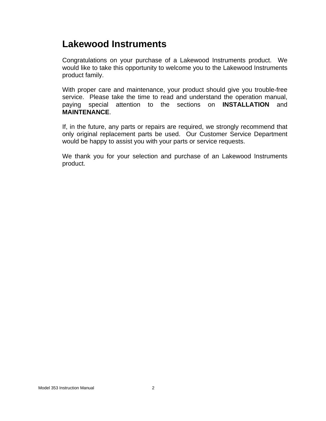# **Lakewood Instruments**

Congratulations on your purchase of a Lakewood Instruments product. We would like to take this opportunity to welcome you to the Lakewood Instruments product family.

With proper care and maintenance, your product should give you trouble-free service. Please take the time to read and understand the operation manual, paying special attention to the sections on **INSTALLATION** and **MAINTENANCE**.

If, in the future, any parts or repairs are required, we strongly recommend that only original replacement parts be used. Our Customer Service Department would be happy to assist you with your parts or service requests.

We thank you for your selection and purchase of an Lakewood Instruments product.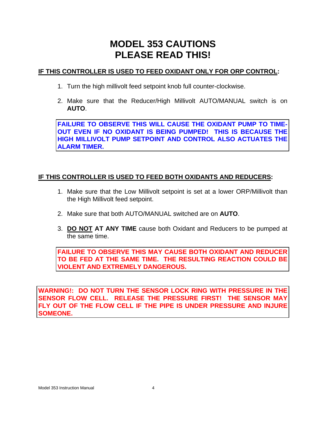# **MODEL 353 CAUTIONS PLEASE READ THIS!**

#### **IF THIS CONTROLLER IS USED TO FEED OXIDANT ONLY FOR ORP CONTROL:**

- 1. Turn the high millivolt feed setpoint knob full counter-clockwise.
- 2. Make sure that the Reducer/High Millivolt AUTO/MANUAL switch is on **AUTO**.

**FAILURE TO OBSERVE THIS WILL CAUSE THE OXIDANT PUMP TO TIME-OUT EVEN IF NO OXIDANT IS BEING PUMPED! THIS IS BECAUSE THE HIGH MILLIVOLT PUMP SETPOINT AND CONTROL ALSO ACTUATES THE ALARM TIMER.** 

#### **IF THIS CONTROLLER IS USED TO FEED BOTH OXIDANTS AND REDUCERS:**

- 1. Make sure that the Low Millivolt setpoint is set at a lower ORP/Millivolt than the High Millivolt feed setpoint.
- 2. Make sure that both AUTO/MANUAL switched are on **AUTO**.
- 3. **DO NOT AT ANY TIME** cause both Oxidant and Reducers to be pumped at the same time.

**FAILURE TO OBSERVE THIS MAY CAUSE BOTH OXIDANT AND REDUCER TO BE FED AT THE SAME TIME. THE RESULTING REACTION COULD BE VIOLENT AND EXTREMELY DANGEROUS.** 

**WARNING!: DO NOT TURN THE SENSOR LOCK RING WITH PRESSURE IN THE SENSOR FLOW CELL. RELEASE THE PRESSURE FIRST! THE SENSOR MAY FLY OUT OF THE FLOW CELL IF THE PIPE IS UNDER PRESSURE AND INJURE SOMEONE.**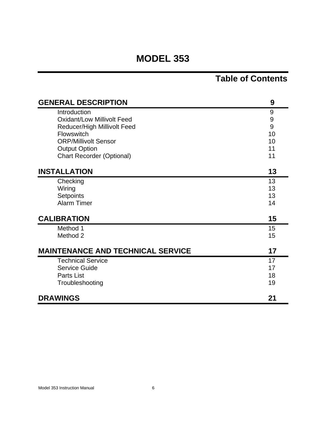# **MODEL 353**

# **Table of Contents**

| <b>GENERAL DESCRIPTION</b>               | 9                |
|------------------------------------------|------------------|
| Introduction                             | 9                |
| <b>Oxidant/Low Millivolt Feed</b>        | $\boldsymbol{9}$ |
| <b>Reducer/High Millivolt Feed</b>       | 9                |
| <b>Flowswitch</b>                        | 10               |
| <b>ORP/Millivolt Sensor</b>              | 10               |
| <b>Output Option</b>                     | 11               |
| <b>Chart Recorder (Optional)</b>         | 11               |
| <b>INSTALLATION</b>                      | 13               |
| Checking                                 | 13               |
| Wiring                                   | 13               |
| Setpoints                                | 13               |
| <b>Alarm Timer</b>                       | 14               |
| <b>CALIBRATION</b>                       | 15               |
| Method 1                                 | 15               |
| Method 2                                 | 15               |
| <b>MAINTENANCE AND TECHNICAL SERVICE</b> | 17               |
| <b>Technical Service</b>                 | 17               |
| Service Guide                            | 17               |
| Parts List                               | 18               |
| Troubleshooting                          | 19               |
| <b>DRAWINGS</b>                          | 21               |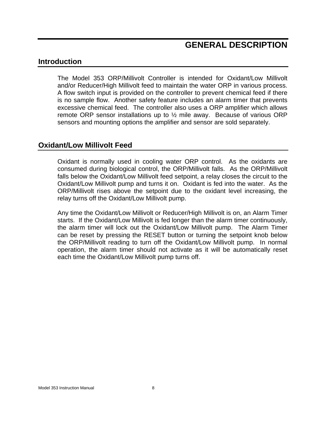### **GENERAL DESCRIPTION**

#### **Introduction**

The Model 353 ORP/Millivolt Controller is intended for Oxidant/Low Millivolt and/or Reducer/High Millivolt feed to maintain the water ORP in various process. A flow switch input is provided on the controller to prevent chemical feed if there is no sample flow. Another safety feature includes an alarm timer that prevents excessive chemical feed. The controller also uses a ORP amplifier which allows remote ORP sensor installations up to ½ mile away. Because of various ORP sensors and mounting options the amplifier and sensor are sold separately.

#### **Oxidant/Low Millivolt Feed**

Oxidant is normally used in cooling water ORP control. As the oxidants are consumed during biological control, the ORP/Millivolt falls. As the ORP/Millivolt falls below the Oxidant/Low Millivolt feed setpoint, a relay closes the circuit to the Oxidant/Low Millivolt pump and turns it on. Oxidant is fed into the water. As the ORP/Millivolt rises above the setpoint due to the oxidant level increasing, the relay turns off the Oxidant/Low Millivolt pump.

Any time the Oxidant/Low Millivolt or Reducer/High Millivolt is on, an Alarm Timer starts. If the Oxidant/Low Millivolt is fed longer than the alarm timer continuously, the alarm timer will lock out the Oxidant/Low Millivolt pump. The Alarm Timer can be reset by pressing the RESET button or turning the setpoint knob below the ORP/Millivolt reading to turn off the Oxidant/Low Millivolt pump. In normal operation, the alarm timer should not activate as it will be automatically reset each time the Oxidant/Low Millivolt pump turns off.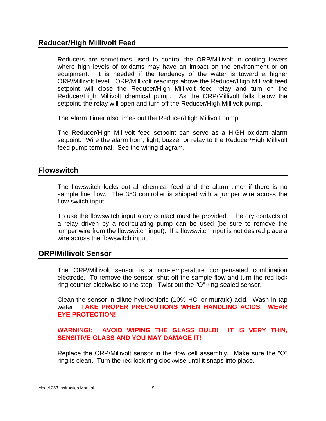### **Reducer/High Millivolt Feed**

Reducers are sometimes used to control the ORP/Millivolt in cooling towers where high levels of oxidants may have an impact on the environment or on equipment. It is needed if the tendency of the water is toward a higher ORP/Millivolt level. ORP/Millivolt readings above the Reducer/High Millivolt feed setpoint will close the Reducer/High Millivolt feed relay and turn on the Reducer/High Millivolt chemical pump. As the ORP/Millivolt falls below the setpoint, the relay will open and turn off the Reducer/High Millivolt pump.

The Alarm Timer also times out the Reducer/High Millivolt pump.

The Reducer/High Millivolt feed setpoint can serve as a HIGH oxidant alarm setpoint. Wire the alarm horn, light, buzzer or relay to the Reducer/High Millivolt feed pump terminal. See the wiring diagram.

#### **Flowswitch**

The flowswitch locks out all chemical feed and the alarm timer if there is no sample line flow. The 353 controller is shipped with a jumper wire across the flow switch input.

To use the flowswitch input a dry contact must be provided. The dry contacts of a relay driven by a recirculating pump can be used (be sure to remove the jumper wire from the flowswitch input). If a flowswitch input is not desired place a wire across the flowswitch input.

#### **ORP/Millivolt Sensor**

The ORP/Millivolt sensor is a non-temperature compensated combination electrode. To remove the sensor, shut off the sample flow and turn the red lock ring counter-clockwise to the stop. Twist out the "O"-ring-sealed sensor.

Clean the sensor in dilute hydrochloric (10% HCl or muratic) acid. Wash in tap water. **TAKE PROPER PRECAUTIONS WHEN HANDLING ACIDS. WEAR EYE PROTECTION!**

**WARNING!: AVOID WIPING THE GLASS BULB! IT IS VERY THIN, SENSITIVE GLASS AND YOU MAY DAMAGE IT!** 

Replace the ORP/Millivolt sensor in the flow cell assembly. Make sure the "O" ring is clean. Turn the red lock ring clockwise until it snaps into place.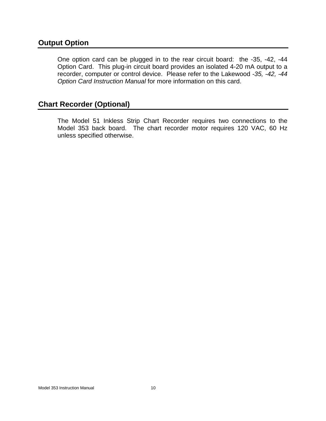### **Output Option**

One option card can be plugged in to the rear circuit board: the -35, -42, -44 Option Card. This plug-in circuit board provides an isolated 4-20 mA output to a recorder, computer or control device. Please refer to the Lakewood *-35, -42, -44 Option Card Instruction Manual* for more information on this card.

### **Chart Recorder (Optional)**

The Model 51 Inkless Strip Chart Recorder requires two connections to the Model 353 back board. The chart recorder motor requires 120 VAC, 60 Hz unless specified otherwise.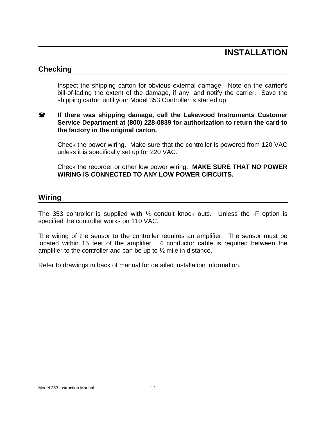## **INSTALLATION**

### **Checking**

Inspect the shipping carton for obvious external damage. Note on the carrier's bill-of-lading the extent of the damage, if any, and notify the carrier. Save the shipping carton until your Model 353 Controller is started up.

#### **If there was shipping damage, call the Lakewood Instruments Customer Service Department at (800) 228-0839 for authorization to return the card to the factory in the original carton.**

Check the power wiring. Make sure that the controller is powered from 120 VAC unless it is specifically set up for 220 VAC.

Check the recorder or other low power wiring. **MAKE SURE THAT NO POWER WIRING IS CONNECTED TO ANY LOW POWER CIRCUITS.**

### **Wiring**

The 353 controller is supplied with ½ conduit knock outs. Unless the -F option is specified the controller works on 110 VAC.

The wiring of the sensor to the controller requires an amplifier. The sensor must be located within 15 feet of the amplifier. 4 conductor cable is required between the amplifier to the controller and can be up to ½ mile in distance.

Refer to drawings in back of manual for detailed installation information.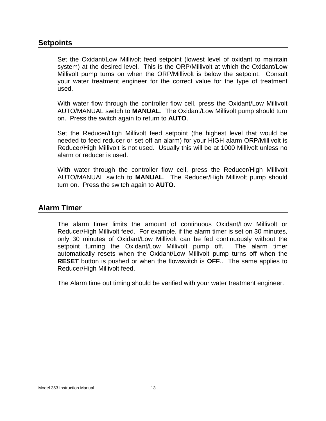#### **Setpoints**

Set the Oxidant/Low Millivolt feed setpoint (lowest level of oxidant to maintain system) at the desired level. This is the ORP/Millivolt at which the Oxidant/Low Millivolt pump turns on when the ORP/Millivolt is below the setpoint. Consult your water treatment engineer for the correct value for the type of treatment used.

With water flow through the controller flow cell, press the Oxidant/Low Millivolt AUTO/MANUAL switch to **MANUAL**. The Oxidant/Low Millivolt pump should turn on. Press the switch again to return to **AUTO**.

Set the Reducer/High Millivolt feed setpoint (the highest level that would be needed to feed reducer or set off an alarm) for your HIGH alarm ORP/Millivolt is Reducer/High Millivolt is not used. Usually this will be at 1000 Millivolt unless no alarm or reducer is used.

With water through the controller flow cell, press the Reducer/High Millivolt AUTO/MANUAL switch to **MANUAL**. The Reducer/High Millivolt pump should turn on. Press the switch again to **AUTO**.

### **Alarm Timer**

The alarm timer limits the amount of continuous Oxidant/Low Millivolt or Reducer/High Millivolt feed. For example, if the alarm timer is set on 30 minutes, only 30 minutes of Oxidant/Low Millivolt can be fed continuously without the setpoint turning the Oxidant/Low Millivolt pump off. The alarm timer automatically resets when the Oxidant/Low Millivolt pump turns off when the **RESET** button is pushed or when the flowswitch is **OFF**.. The same applies to Reducer/High Millivolt feed.

The Alarm time out timing should be verified with your water treatment engineer.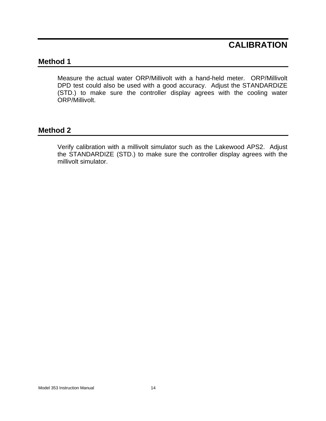## **CALIBRATION**

### **Method 1**

Measure the actual water ORP/Millivolt with a hand-held meter. ORP/Millivolt DPD test could also be used with a good accuracy. Adjust the STANDARDIZE (STD.) to make sure the controller display agrees with the cooling water ORP/Millivolt.

#### **Method 2**

Verify calibration with a millivolt simulator such as the Lakewood APS2. Adjust the STANDARDIZE (STD.) to make sure the controller display agrees with the millivolt simulator.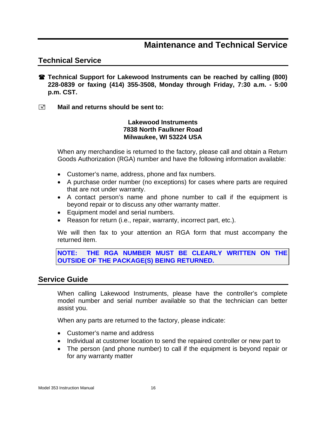### **Maintenance and Technical Service**

### **Technical Service**

- **Technical Support for Lakewood Instruments can be reached by calling (800) 228-0839 or faxing (414) 355-3508, Monday through Friday, 7:30 a.m. - 5:00 p.m. CST.**
- **E** Mail and returns should be sent to:

#### **Lakewood Instruments 7838 North Faulkner Road Milwaukee, WI 53224 USA**

When any merchandise is returned to the factory, please call and obtain a Return Goods Authorization (RGA) number and have the following information available:

- Customer's name, address, phone and fax numbers.
- A purchase order number (no exceptions) for cases where parts are required that are not under warranty.
- A contact person's name and phone number to call if the equipment is beyond repair or to discuss any other warranty matter.
- Equipment model and serial numbers.
- Reason for return (i.e., repair, warranty, incorrect part, etc.).

We will then fax to your attention an RGA form that must accompany the returned item.

**NOTE: THE RGA NUMBER MUST BE CLEARLY WRITTEN ON THE OUTSIDE OF THE PACKAGE(S) BEING RETURNED.**

#### **Service Guide**

When calling Lakewood Instruments, please have the controller's complete model number and serial number available so that the technician can better assist you.

When any parts are returned to the factory, please indicate:

- Customer's name and address
- Individual at customer location to send the repaired controller or new part to
- The person (and phone number) to call if the equipment is beyond repair or for any warranty matter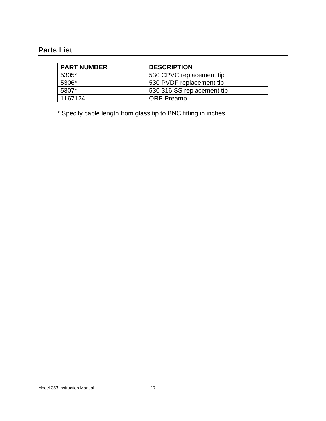## **Parts List**

| <b>PART NUMBER</b> | <b>DESCRIPTION</b>         |
|--------------------|----------------------------|
| 5305*              | 530 CPVC replacement tip   |
| 5306*              | 530 PVDF replacement tip   |
| 5307*              | 530 316 SS replacement tip |
| 1167124            | <b>ORP</b> Preamp          |

\* Specify cable length from glass tip to BNC fitting in inches.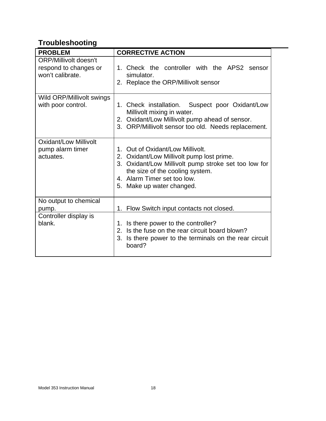# **Troubleshooting**

| <b>PROBLEM</b>                                                            | <b>CORRECTIVE ACTION</b>                                                                                                                                                                                                             |
|---------------------------------------------------------------------------|--------------------------------------------------------------------------------------------------------------------------------------------------------------------------------------------------------------------------------------|
| <b>ORP/Millivolt doesn't</b><br>respond to changes or<br>won't calibrate. | 1. Check the controller with the APS2 sensor<br>simulator.<br>2. Replace the ORP/Millivolt sensor                                                                                                                                    |
| Wild ORP/Millivolt swings<br>with poor control.                           | 1. Check installation. Suspect poor Oxidant/Low<br>Millivolt mixing in water.<br>2. Oxidant/Low Millivolt pump ahead of sensor.<br>3. ORP/Millivolt sensor too old. Needs replacement.                                               |
| <b>Oxidant/Low Millivolt</b><br>pump alarm timer<br>actuates.             | 1. Out of Oxidant/Low Millivolt.<br>2. Oxidant/Low Millivolt pump lost prime.<br>3. Oxidant/Low Millivolt pump stroke set too low for<br>the size of the cooling system.<br>4. Alarm Timer set too low.<br>5. Make up water changed. |
| No output to chemical<br>pump.                                            | Flow Switch input contacts not closed.<br>1.                                                                                                                                                                                         |
| Controller display is<br>blank.                                           | 1. Is there power to the controller?<br>2. Is the fuse on the rear circuit board blown?<br>3. Is there power to the terminals on the rear circuit<br>board?                                                                          |